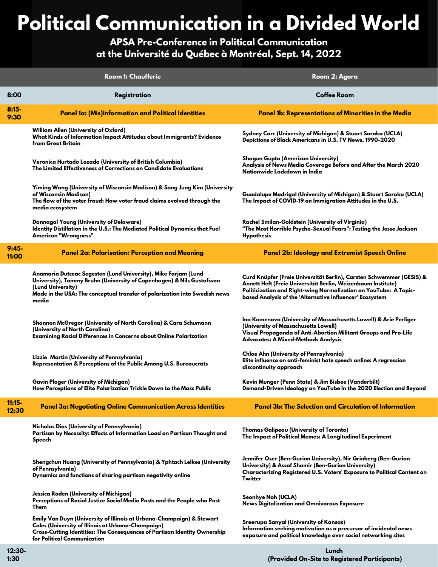## **Political Communication in a Divided World**

## **APSA Pre-Conference in Political Communication at the Université du Québec à Montréal, Sept. 14, 2022**

|                   | <b>Room 1: Chaufferie</b>                                                                                                                                                                                                                           | Room 2: Agora                                                                                                                                                                                                                                                        |
|-------------------|-----------------------------------------------------------------------------------------------------------------------------------------------------------------------------------------------------------------------------------------------------|----------------------------------------------------------------------------------------------------------------------------------------------------------------------------------------------------------------------------------------------------------------------|
| 8:00              | Registration                                                                                                                                                                                                                                        | <b>Coffee Room</b>                                                                                                                                                                                                                                                   |
| $8:15-$<br>9:30   | Panel 1a: (Mis)Information and Political Identities                                                                                                                                                                                                 | <b>Panel 1b: Representations of Minorities in the Media</b>                                                                                                                                                                                                          |
|                   | <b>William Allen (University of Oxford)</b><br>What Kinds of Information Impact Attitudes about Immigrants? Evidence<br>from Great Britain                                                                                                          | Sydney Carr (University of Michigan) & Stuart Soroka (UCLA)<br>Depictions of Black Americans in U.S. TV News, 1990-2020                                                                                                                                              |
|                   | Veronica Hurtado Lozada (University of British Columbia)<br>The Limited Effectiveness of Corrections on Candidate Evaluations                                                                                                                       | Shagun Gupta (American University)<br>Analysis of News Media Coverage Before and After the March 2020<br>Nationwide Lockdown in India                                                                                                                                |
|                   | Yiming Wang (University of Wisconsin Madison) & Sang Jung Kim (University<br>of Wisconsin Madison)<br>The flow of the voter fraud: How voter fraud claims evolved through the<br>media ecosystem                                                    | Guadalupe Madrigal (University of Michigan) & Stuart Soroka (UCLA)<br>The Impact of COVID-19 on Immigration Attitudes in the U.S.                                                                                                                                    |
|                   | <b>Dannagal Young (University of Delaware)</b><br>Identity Distillation in the U.S.: The Mediated Political Dynamics that Fuel<br>American "Wrongness"                                                                                              | Rachel Smilan-Goldstein (University of Virginia)<br>"The Most Horrible Psycho-Sexual Fears": Testing the Jesse Jackson<br><b>Hypothesis</b>                                                                                                                          |
| $9:45-$<br>11:00  | Panel 2a: Polarisation: Perception and Meaning                                                                                                                                                                                                      | <b>Panel 2b: Ideology and Extremist Speech Online</b>                                                                                                                                                                                                                |
|                   | Anamaria Dutceac Segesten (Lund University), Mike Farjam (Lund<br>University), Tommy Bruhn (University of Copenhagen) & Nils Gustafsson<br>(Lund University)<br>Made in the USA: The conceptual transfer of polarization into Swedish news<br>media | Curd Knüpfer (Freie Universität Berlin), Carsten Schwemmer (GESIS) &<br>Annett Heft (Freie Universität Berlin, Weizenbaum Institute)<br>Politicization and Right-wing Normalization on YouTube: A Topic-<br>based Analysis of the 'Alternative Influencer' Ecosystem |
|                   | Shannon McGregor (University of North Carolina) & Cara Schumann<br>(University of North Carolina)<br>Examining Racial Differences in Concerns about Online Polarization                                                                             | Ina Kamenova (University of Massachusetts Lowell) & Arie Perliger<br>(University of Massachusetts Lowell)<br>Visual Propaganda of Anti-Abortion Militant Groups and Pro-Life<br><b>Advocates: A Mixed-Methods Analysis</b>                                           |
|                   | Lizzie Martin (University of Pennsylvania)<br>Representation & Perceptions of the Public Among U.S. Bureaucrats                                                                                                                                     | Chloe Ahn (University of Pennsylvania)<br>Elite influence on anti-feminist hate speech online: A regression<br>discontinuity approach                                                                                                                                |
|                   | Gavin Ploger (University of Michigan)<br>How Perceptions of Elite Polarization Trickle Down to the Mass Public                                                                                                                                      | Kevin Munger (Penn State) & Jim Bisbee (Vanderbilt)<br>Demand-Driven Ideology on YouTube in the 2020 Election and Beyond                                                                                                                                             |
| $11:15-$<br>12:30 | <b>Panel 3a: Negotiating Online Communication Across Identities</b>                                                                                                                                                                                 | <b>Panel 3b: The Selection and Circulation of Information</b>                                                                                                                                                                                                        |
|                   | Nicholas Dias (University of Pennsylvania)<br>Partisan by Necessity: Effects of Information Load on Partisan Thought and<br>Speech                                                                                                                  | <b>Thomas Galipeau (University of Toronto)</b><br>The Impact of Political Memes: A Longitudinal Experiment                                                                                                                                                           |
|                   | Shengchun Huang (University of Pennsylvania) & Yphtach Lelkes (University<br>of Pennsylvania)<br>Dynamics and functions of sharing partisan negativity online                                                                                       | Jennifer Oser (Ben-Gurion University), Nir Grinberg (Ben-Gurion<br>University) & Assaf Shamir (Ben-Gurion University)<br>Characterizing Registered U.S. Voters' Exposure to Political Content on<br>Twitter                                                          |
|                   | Jessica Roden (University of Michigan)<br>Perceptions of Racial Justice Social Media Posts and the People who Post<br>Them                                                                                                                          | Seonhye Noh (UCLA)<br><b>News Digitalization and Omnivorous Exposure</b>                                                                                                                                                                                             |
|                   | Emily Van Duyn (University of Illinois at Urbana-Champaign) & Stewart<br>Coles (University of Illinois at Urbana-Champaign)<br>Cross-Cutting Identities: The Consequences of Partisan Identity Ownership<br>for Political Communication             | Sreerupa Sanyal (University of Kansas)<br>Information seeking motivation as a precursor of incidental news<br>exposure and political knowledge over social networking sites                                                                                          |